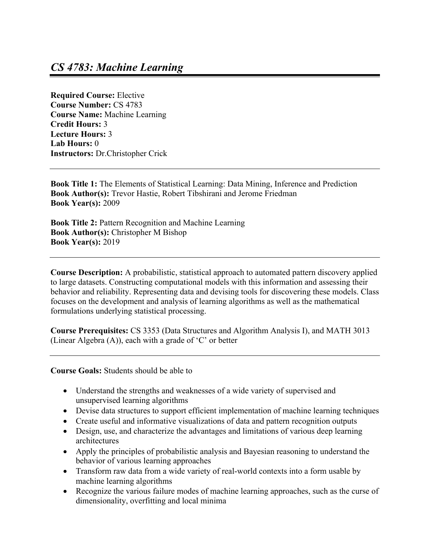**Required Course:** Elective **Course Number:** CS 4783 **Course Name:** Machine Learning **Credit Hours:** 3 **Lecture Hours:** 3 **Lab Hours:** 0 **Instructors:** Dr.Christopher Crick

**Book Title 1:** The Elements of Statistical Learning: Data Mining, Inference and Prediction **Book Author(s):** Trevor Hastie, Robert Tibshirani and Jerome Friedman **Book Year(s):** 2009

**Book Title 2:** Pattern Recognition and Machine Learning **Book Author(s):** Christopher M Bishop **Book Year(s):** 2019

**Course Description:** A probabilistic, statistical approach to automated pattern discovery applied to large datasets. Constructing computational models with this information and assessing their behavior and reliability. Representing data and devising tools for discovering these models. Class focuses on the development and analysis of learning algorithms as well as the mathematical formulations underlying statistical processing.

**Course Prerequisites:** CS 3353 (Data Structures and Algorithm Analysis I), and MATH 3013 (Linear Algebra (A)), each with a grade of 'C' or better

**Course Goals:** Students should be able to

- Understand the strengths and weaknesses of a wide variety of supervised and unsupervised learning algorithms
- Devise data structures to support efficient implementation of machine learning techniques
- Create useful and informative visualizations of data and pattern recognition outputs
- Design, use, and characterize the advantages and limitations of various deep learning architectures
- Apply the principles of probabilistic analysis and Bayesian reasoning to understand the behavior of various learning approaches
- Transform raw data from a wide variety of real-world contexts into a form usable by machine learning algorithms
- Recognize the various failure modes of machine learning approaches, such as the curse of dimensionality, overfitting and local minima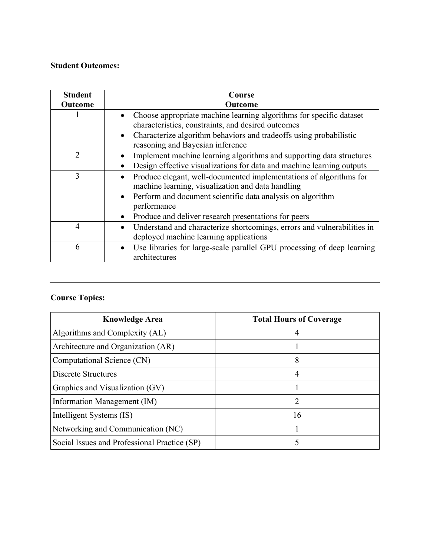## **Student Outcomes:**

| <b>Student</b> | Course                                                                                                                         |  |  |  |
|----------------|--------------------------------------------------------------------------------------------------------------------------------|--|--|--|
| <b>Outcome</b> | <b>Outcome</b>                                                                                                                 |  |  |  |
|                | Choose appropriate machine learning algorithms for specific dataset<br>characteristics, constraints, and desired outcomes      |  |  |  |
|                | Characterize algorithm behaviors and tradeoffs using probabilistic<br>$\bullet$<br>reasoning and Bayesian inference            |  |  |  |
| $\overline{2}$ | Implement machine learning algorithms and supporting data structures                                                           |  |  |  |
|                | Design effective visualizations for data and machine learning outputs                                                          |  |  |  |
| 3              | Produce elegant, well-documented implementations of algorithms for<br>machine learning, visualization and data handling        |  |  |  |
|                | Perform and document scientific data analysis on algorithm<br>$\bullet$<br>performance                                         |  |  |  |
|                | Produce and deliver research presentations for peers                                                                           |  |  |  |
| 4              | Understand and characterize shortcomings, errors and vulnerabilities in<br>$\bullet$<br>deployed machine learning applications |  |  |  |
| 6              | Use libraries for large-scale parallel GPU processing of deep learning<br>$\bullet$<br>architectures                           |  |  |  |

## **Course Topics:**

| <b>Knowledge Area</b>                        | <b>Total Hours of Coverage</b> |  |
|----------------------------------------------|--------------------------------|--|
| Algorithms and Complexity (AL)               |                                |  |
| Architecture and Organization (AR)           |                                |  |
| Computational Science (CN)                   | 8                              |  |
| Discrete Structures                          | 4                              |  |
| Graphics and Visualization (GV)              |                                |  |
| Information Management (IM)                  | 2                              |  |
| Intelligent Systems (IS)                     | 16                             |  |
| Networking and Communication (NC)            |                                |  |
| Social Issues and Professional Practice (SP) |                                |  |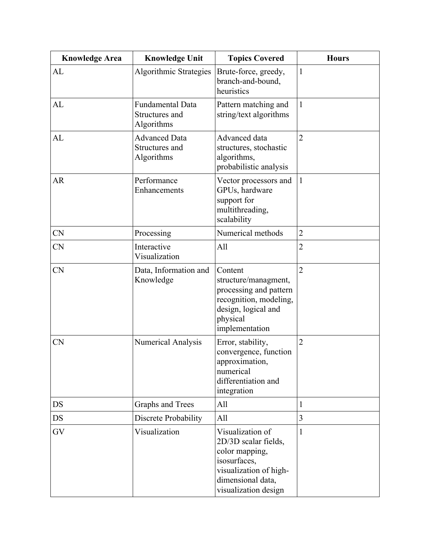| <b>Knowledge Area</b> | <b>Knowledge Unit</b>                                   | <b>Topics Covered</b>                                                                                                                             | <b>Hours</b>   |
|-----------------------|---------------------------------------------------------|---------------------------------------------------------------------------------------------------------------------------------------------------|----------------|
| AL                    | Algorithmic Strategies                                  | Brute-force, greedy,<br>branch-and-bound,<br>heuristics                                                                                           | $\mathbf{1}$   |
| AL                    | <b>Fundamental Data</b><br>Structures and<br>Algorithms | Pattern matching and<br>string/text algorithms                                                                                                    | $\mathbf{1}$   |
| AL                    | <b>Advanced Data</b><br>Structures and<br>Algorithms    | Advanced data<br>structures, stochastic<br>algorithms,<br>probabilistic analysis                                                                  | $\overline{2}$ |
| <b>AR</b>             | Performance<br>Enhancements                             | Vector processors and<br>GPUs, hardware<br>support for<br>multithreading,<br>scalability                                                          | $\mathbf{1}$   |
| <b>CN</b>             | Processing                                              | Numerical methods                                                                                                                                 | $\overline{2}$ |
| <b>CN</b>             | Interactive<br>Visualization                            | All                                                                                                                                               | $\overline{2}$ |
| <b>CN</b>             | Data, Information and<br>Knowledge                      | Content<br>structure/managment,<br>processing and pattern<br>recognition, modeling,<br>design, logical and<br>physical<br>implementation          | $\overline{2}$ |
| <b>CN</b>             | Numerical Analysis                                      | Error, stability,<br>convergence, function<br>approximation,<br>numerical<br>differentiation and<br>integration                                   | $\overline{2}$ |
| <b>DS</b>             | Graphs and Trees                                        | All                                                                                                                                               | $\mathbf{1}$   |
| <b>DS</b>             | Discrete Probability                                    | All                                                                                                                                               | $\overline{3}$ |
| GV                    | Visualization                                           | Visualization of<br>2D/3D scalar fields,<br>color mapping,<br>isosurfaces,<br>visualization of high-<br>dimensional data,<br>visualization design | $\mathbf{1}$   |